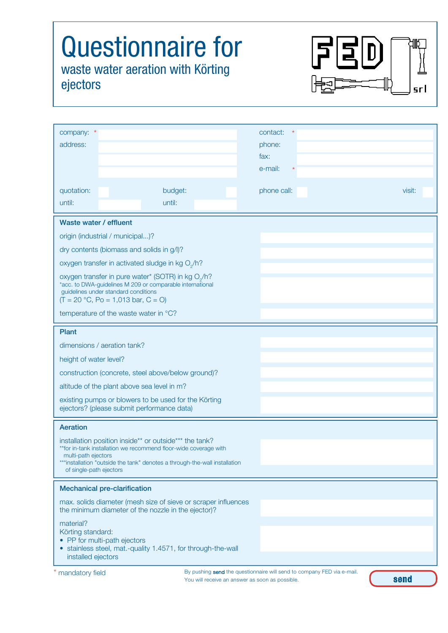## Questionnaire for waste water aeration with Körting ejectors



| company: *                                                                                                            | contact:                                                               |  |
|-----------------------------------------------------------------------------------------------------------------------|------------------------------------------------------------------------|--|
| address:                                                                                                              | phone:                                                                 |  |
|                                                                                                                       | fax:                                                                   |  |
|                                                                                                                       | e-mail:                                                                |  |
|                                                                                                                       |                                                                        |  |
| quotation:<br>budget:                                                                                                 | phone call:<br>visit:                                                  |  |
| until:<br>until:                                                                                                      |                                                                        |  |
| Waste water / effluent                                                                                                |                                                                        |  |
| origin (industrial / municipal)?                                                                                      |                                                                        |  |
| dry contents (biomass and solids in g/l)?                                                                             |                                                                        |  |
| oxygen transfer in activated sludge in kg O <sub>2</sub> /h?                                                          |                                                                        |  |
| oxygen transfer in pure water* (SOTR) in kg O <sub>2</sub> /h?                                                        |                                                                        |  |
| *acc. to DWA-guidelines M 209 or comparable international<br>guidelines under standard conditions                     |                                                                        |  |
| $(T = 20 °C, Po = 1,013 bar, C = O)$                                                                                  |                                                                        |  |
| temperature of the waste water in °C?                                                                                 |                                                                        |  |
| Plant                                                                                                                 |                                                                        |  |
| dimensions / aeration tank?                                                                                           |                                                                        |  |
| height of water level?                                                                                                |                                                                        |  |
| construction (concrete, steel above/below ground)?                                                                    |                                                                        |  |
| altitude of the plant above sea level in m?                                                                           |                                                                        |  |
| existing pumps or blowers to be used for the Körting                                                                  |                                                                        |  |
| ejectors? (please submit performance data)                                                                            |                                                                        |  |
| Aeration                                                                                                              |                                                                        |  |
| installation position inside** or outside*** the tank?                                                                |                                                                        |  |
| **for in-tank installation we recommend floor-wide coverage with<br>multi-path ejectors                               |                                                                        |  |
| ***installation "outside the tank" denotes a through-the-wall installation                                            |                                                                        |  |
| of single-path ejectors                                                                                               |                                                                        |  |
| <b>Mechanical pre-clarification</b>                                                                                   |                                                                        |  |
| max. solids diameter (mesh size of sieve or scraper influences<br>the minimum diameter of the nozzle in the ejector)? |                                                                        |  |
| material?                                                                                                             |                                                                        |  |
| Körting standard:                                                                                                     |                                                                        |  |
| • PP for multi-path ejectors<br>• stainless steel, mat.-quality 1.4571, for through-the-wall                          |                                                                        |  |
| installed ejectors                                                                                                    |                                                                        |  |
| mandatory field                                                                                                       | By pushing send the questionnaire will send to company FED via e-mail. |  |

You will receive an answer as soon as possible.

send